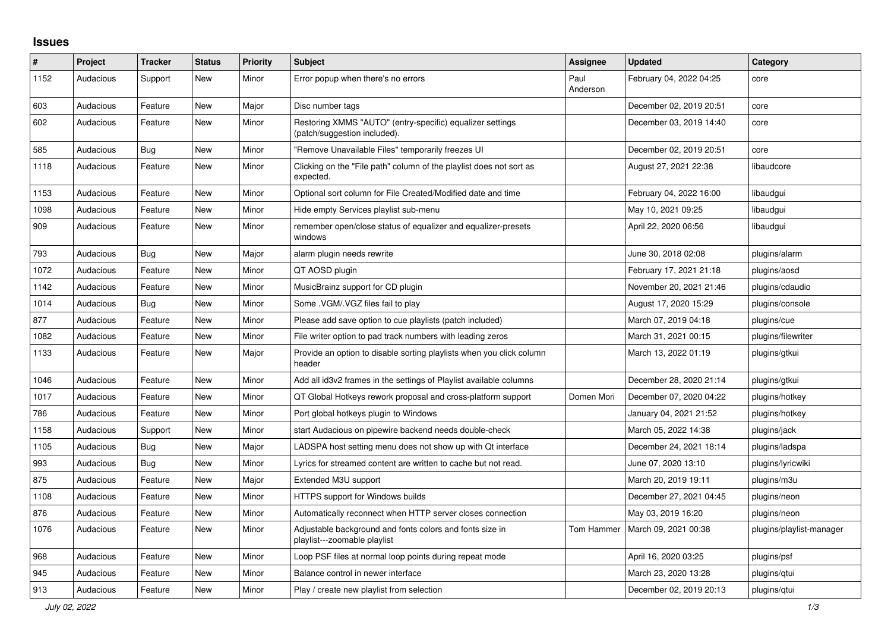## **Issues**

| $\#$ | Project   | <b>Tracker</b> | <b>Status</b> | <b>Priority</b> | <b>Subject</b>                                                                            | <b>Assignee</b>  | <b>Updated</b>          | Category                 |
|------|-----------|----------------|---------------|-----------------|-------------------------------------------------------------------------------------------|------------------|-------------------------|--------------------------|
| 1152 | Audacious | Support        | <b>New</b>    | Minor           | Error popup when there's no errors                                                        | Paul<br>Anderson | February 04, 2022 04:25 | core                     |
| 603  | Audacious | Feature        | <b>New</b>    | Major           | Disc number tags                                                                          |                  | December 02, 2019 20:51 | core                     |
| 602  | Audacious | Feature        | <b>New</b>    | Minor           | Restoring XMMS "AUTO" (entry-specific) equalizer settings<br>(patch/suggestion included). |                  | December 03, 2019 14:40 | core                     |
| 585  | Audacious | <b>Bug</b>     | <b>New</b>    | Minor           | "Remove Unavailable Files" temporarily freezes UI                                         |                  | December 02, 2019 20:51 | core                     |
| 1118 | Audacious | Feature        | <b>New</b>    | Minor           | Clicking on the "File path" column of the playlist does not sort as<br>expected.          |                  | August 27, 2021 22:38   | libaudcore               |
| 1153 | Audacious | Feature        | <b>New</b>    | Minor           | Optional sort column for File Created/Modified date and time                              |                  | February 04, 2022 16:00 | libaudgui                |
| 1098 | Audacious | Feature        | <b>New</b>    | Minor           | Hide empty Services playlist sub-menu                                                     |                  | May 10, 2021 09:25      | libaudgui                |
| 909  | Audacious | Feature        | <b>New</b>    | Minor           | remember open/close status of equalizer and equalizer-presets<br>windows                  |                  | April 22, 2020 06:56    | libaudgui                |
| 793  | Audacious | <b>Bug</b>     | <b>New</b>    | Major           | alarm plugin needs rewrite                                                                |                  | June 30, 2018 02:08     | plugins/alarm            |
| 1072 | Audacious | Feature        | <b>New</b>    | Minor           | QT AOSD plugin                                                                            |                  | February 17, 2021 21:18 | plugins/aosd             |
| 1142 | Audacious | Feature        | <b>New</b>    | Minor           | MusicBrainz support for CD plugin                                                         |                  | November 20, 2021 21:46 | plugins/cdaudio          |
| 1014 | Audacious | <b>Bug</b>     | <b>New</b>    | Minor           | Some .VGM/.VGZ files fail to play                                                         |                  | August 17, 2020 15:29   | plugins/console          |
| 877  | Audacious | Feature        | <b>New</b>    | Minor           | Please add save option to cue playlists (patch included)                                  |                  | March 07, 2019 04:18    | plugins/cue              |
| 1082 | Audacious | Feature        | <b>New</b>    | Minor           | File writer option to pad track numbers with leading zeros                                |                  | March 31, 2021 00:15    | plugins/filewriter       |
| 1133 | Audacious | Feature        | New           | Major           | Provide an option to disable sorting playlists when you click column<br>header            |                  | March 13, 2022 01:19    | plugins/gtkui            |
| 1046 | Audacious | Feature        | <b>New</b>    | Minor           | Add all id3v2 frames in the settings of Playlist available columns                        |                  | December 28, 2020 21:14 | plugins/gtkui            |
| 1017 | Audacious | Feature        | New           | Minor           | QT Global Hotkeys rework proposal and cross-platform support                              | Domen Mori       | December 07, 2020 04:22 | plugins/hotkey           |
| 786  | Audacious | Feature        | <b>New</b>    | Minor           | Port global hotkeys plugin to Windows                                                     |                  | January 04, 2021 21:52  | plugins/hotkey           |
| 1158 | Audacious | Support        | <b>New</b>    | Minor           | start Audacious on pipewire backend needs double-check                                    |                  | March 05, 2022 14:38    | plugins/jack             |
| 1105 | Audacious | <b>Bug</b>     | <b>New</b>    | Major           | LADSPA host setting menu does not show up with Qt interface                               |                  | December 24, 2021 18:14 | plugins/ladspa           |
| 993  | Audacious | <b>Bug</b>     | <b>New</b>    | Minor           | Lyrics for streamed content are written to cache but not read.                            |                  | June 07, 2020 13:10     | plugins/lyricwiki        |
| 875  | Audacious | Feature        | <b>New</b>    | Major           | Extended M3U support                                                                      |                  | March 20, 2019 19:11    | plugins/m3u              |
| 1108 | Audacious | Feature        | New           | Minor           | HTTPS support for Windows builds                                                          |                  | December 27, 2021 04:45 | plugins/neon             |
| 876  | Audacious | Feature        | <b>New</b>    | Minor           | Automatically reconnect when HTTP server closes connection                                |                  | May 03, 2019 16:20      | plugins/neon             |
| 1076 | Audacious | Feature        | <b>New</b>    | Minor           | Adjustable background and fonts colors and fonts size in<br>playlist---zoomable playlist  | Tom Hammer       | March 09, 2021 00:38    | plugins/playlist-manager |
| 968  | Audacious | Feature        | New           | Minor           | Loop PSF files at normal loop points during repeat mode                                   |                  | April 16, 2020 03:25    | plugins/psf              |
| 945  | Audacious | Feature        | <b>New</b>    | Minor           | Balance control in newer interface                                                        |                  | March 23, 2020 13:28    | plugins/gtui             |
| 913  | Audacious | Feature        | <b>New</b>    | Minor           | Play / create new playlist from selection                                                 |                  | December 02, 2019 20:13 | plugins/qtui             |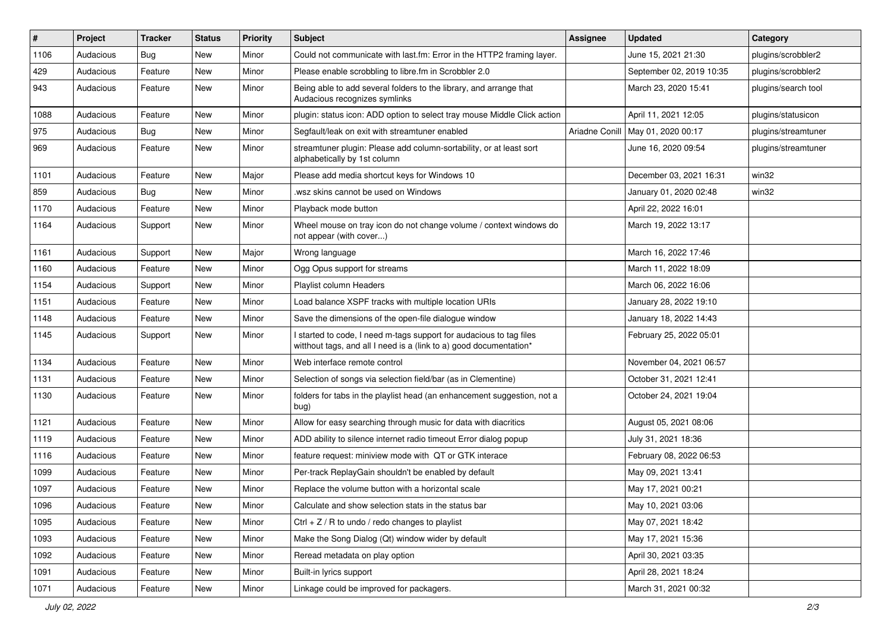| #    | Project   | <b>Tracker</b> | <b>Status</b> | <b>Priority</b> | Subject                                                                                                                                   | <b>Assignee</b> | <b>Updated</b>           | Category            |
|------|-----------|----------------|---------------|-----------------|-------------------------------------------------------------------------------------------------------------------------------------------|-----------------|--------------------------|---------------------|
| 1106 | Audacious | Bug            | New           | Minor           | Could not communicate with last.fm: Error in the HTTP2 framing layer.                                                                     |                 | June 15, 2021 21:30      | plugins/scrobbler2  |
| 429  | Audacious | Feature        | <b>New</b>    | Minor           | Please enable scrobbling to libre.fm in Scrobbler 2.0                                                                                     |                 | September 02, 2019 10:35 | plugins/scrobbler2  |
| 943  | Audacious | Feature        | <b>New</b>    | Minor           | Being able to add several folders to the library, and arrange that<br>Audacious recognizes symlinks                                       |                 | March 23, 2020 15:41     | plugins/search tool |
| 1088 | Audacious | Feature        | New           | Minor           | plugin: status icon: ADD option to select tray mouse Middle Click action                                                                  |                 | April 11, 2021 12:05     | plugins/statusicon  |
| 975  | Audacious | Bug            | New           | Minor           | Segfault/leak on exit with streamtuner enabled                                                                                            | Ariadne Conill  | May 01, 2020 00:17       | plugins/streamtuner |
| 969  | Audacious | Feature        | New           | Minor           | streamtuner plugin: Please add column-sortability, or at least sort<br>alphabetically by 1st column                                       |                 | June 16, 2020 09:54      | plugins/streamtuner |
| 1101 | Audacious | Feature        | New           | Major           | Please add media shortcut keys for Windows 10                                                                                             |                 | December 03, 2021 16:31  | win32               |
| 859  | Audacious | <b>Bug</b>     | New           | Minor           | .wsz skins cannot be used on Windows                                                                                                      |                 | January 01, 2020 02:48   | win32               |
| 1170 | Audacious | Feature        | New           | Minor           | Playback mode button                                                                                                                      |                 | April 22, 2022 16:01     |                     |
| 1164 | Audacious | Support        | New           | Minor           | Wheel mouse on tray icon do not change volume / context windows do<br>not appear (with cover)                                             |                 | March 19, 2022 13:17     |                     |
| 1161 | Audacious | Support        | New           | Major           | Wrong language                                                                                                                            |                 | March 16, 2022 17:46     |                     |
| 1160 | Audacious | Feature        | New           | Minor           | Ogg Opus support for streams                                                                                                              |                 | March 11, 2022 18:09     |                     |
| 1154 | Audacious | Support        | New           | Minor           | Playlist column Headers                                                                                                                   |                 | March 06, 2022 16:06     |                     |
| 1151 | Audacious | Feature        | New           | Minor           | Load balance XSPF tracks with multiple location URIs                                                                                      |                 | January 28, 2022 19:10   |                     |
| 1148 | Audacious | Feature        | New           | Minor           | Save the dimensions of the open-file dialogue window                                                                                      |                 | January 18, 2022 14:43   |                     |
| 1145 | Audacious | Support        | New           | Minor           | I started to code, I need m-tags support for audacious to tag files<br>witthout tags, and all I need is a (link to a) good documentation* |                 | February 25, 2022 05:01  |                     |
| 1134 | Audacious | Feature        | New           | Minor           | Web interface remote control                                                                                                              |                 | November 04, 2021 06:57  |                     |
| 1131 | Audacious | Feature        | New           | Minor           | Selection of songs via selection field/bar (as in Clementine)                                                                             |                 | October 31, 2021 12:41   |                     |
| 1130 | Audacious | Feature        | <b>New</b>    | Minor           | folders for tabs in the playlist head (an enhancement suggestion, not a<br>bug)                                                           |                 | October 24, 2021 19:04   |                     |
| 1121 | Audacious | Feature        | New           | Minor           | Allow for easy searching through music for data with diacritics                                                                           |                 | August 05, 2021 08:06    |                     |
| 1119 | Audacious | Feature        | New           | Minor           | ADD ability to silence internet radio timeout Error dialog popup                                                                          |                 | July 31, 2021 18:36      |                     |
| 1116 | Audacious | Feature        | New           | Minor           | feature request: miniview mode with QT or GTK interace                                                                                    |                 | February 08, 2022 06:53  |                     |
| 1099 | Audacious | Feature        | New           | Minor           | Per-track ReplayGain shouldn't be enabled by default                                                                                      |                 | May 09, 2021 13:41       |                     |
| 1097 | Audacious | Feature        | New           | Minor           | Replace the volume button with a horizontal scale                                                                                         |                 | May 17, 2021 00:21       |                     |
| 1096 | Audacious | Feature        | New           | Minor           | Calculate and show selection stats in the status bar                                                                                      |                 | May 10, 2021 03:06       |                     |
| 1095 | Audacious | Feature        | New           | Minor           | Ctrl + $Z$ / R to undo / redo changes to playlist                                                                                         |                 | May 07, 2021 18:42       |                     |
| 1093 | Audacious | Feature        | New           | Minor           | Make the Song Dialog (Qt) window wider by default                                                                                         |                 | May 17, 2021 15:36       |                     |
| 1092 | Audacious | Feature        | New           | Minor           | Reread metadata on play option                                                                                                            |                 | April 30, 2021 03:35     |                     |
| 1091 | Audacious | Feature        | New           | Minor           | Built-in lyrics support                                                                                                                   |                 | April 28, 2021 18:24     |                     |
| 1071 | Audacious | Feature        | New           | Minor           | Linkage could be improved for packagers.                                                                                                  |                 | March 31, 2021 00:32     |                     |